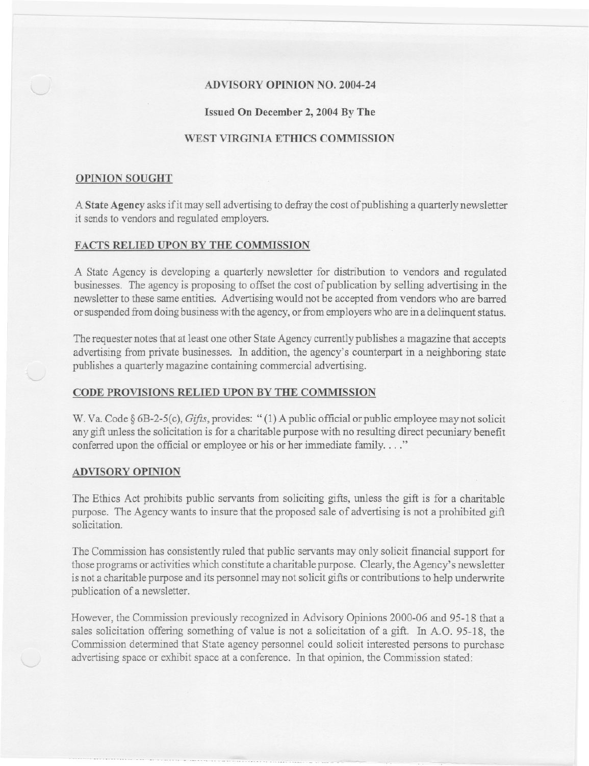# ADVISORY OPINION NO. 2004-24

- -- - --

## Issued On December 2, 2004By The

## WEST VIRGINIA ETHICS COMMISSION

### OPINION SOUGHT

A State Agency asks if it may sell advertising to defray the cost of publishing a quarterly newsletter it sends to vendors and regulated employers.

## FACTS RELIED UPON BY THE COMMISSION

A State Agency is developing a quarterly newsletter for distribution to vendors and regulated businesses. The agency is proposing to offset the cost of publication by selling advertising in the newsletter to these same entities. Advertising would not be accepted from vendors who are barred or suspended from doing business with the agency, or from employers who are in a delinquent status.

The requester notes that at least one other State Agency currently publishes a magazine that accepts advertising from private businesses. In addition, the agency's counterpart in a neighboring state publishes a quarterly magazine containing commercial advertising.

#### CODE PROVISIONS RELIED UPON BY THE COMMISSION

W. Va. Code § 6B-2-5(c), *Gifts*, provides: "(1) A public official or public employee may not solicit any gift unless the solicitation is for a charitable purpose with no resulting direct pecuniary benefit conferred upon the official or employee or his or her immediate family. . . ."

#### ADVISORY OPINION

The Ethics Act prohibits public servants from soliciting gifts, unless the gift is for a charitable purpose. The Agency wants to insure that the proposed sale of advertising is not a prohibited gift solicitation.

The Commission has consistently ruled that public servants may only solicit financial support for those programs or activities which constitute a charitable purpose. Clearly, the Agency's newsletter is not a charitable purpose and its personnel may not solicit gifts or contributions to help underwrite publication of a newsletter.

However, the Commission previously recognized in Advisory Opinions 2000-06 and 95-18 that a sales solicitation offering something of value is not a solicitation of a gift. In A.D. 95-18, the Commission determined that State agency personnel could solicit interested persons to purchase advertising space or exhibit space at a conference. In that opinion, the Commission stated: